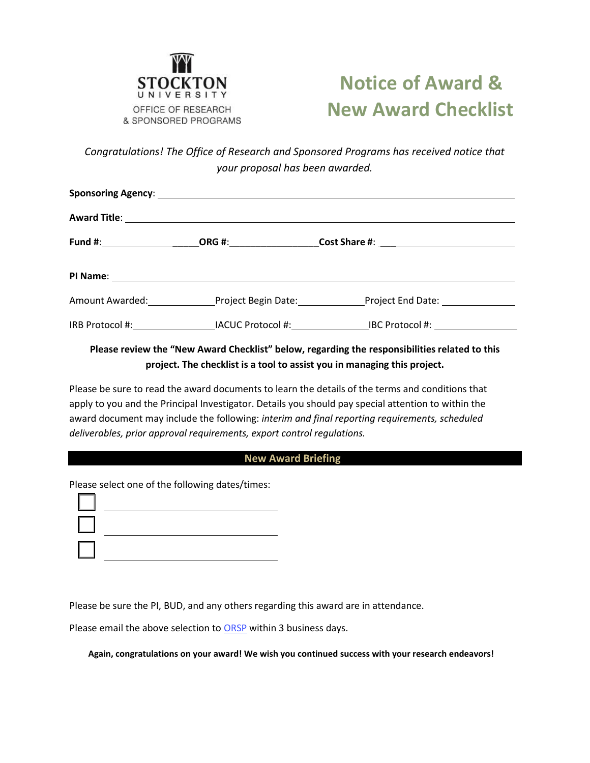

# **Notice of Award & New Award Checklist**

*Congratulations! The Office of Research and Sponsored Programs has received notice that your proposal has been awarded.*

|  |  | Amount Awarded: Project Begin Date: Project End Date: |  |  |  |
|--|--|-------------------------------------------------------|--|--|--|
|  |  |                                                       |  |  |  |

### **Please review the "New Award Checklist" below, regarding the responsibilities related to this project. The checklist is a tool to assist you in managing this project.**

Please be sure to read the award documents to learn the details of the terms and conditions that apply to you and the Principal Investigator. Details you should pay special attention to within the award document may include the following: *interim and final reporting requirements, scheduled deliverables, prior approval requirements, export control regulations.*

#### **New Award Briefing**

Please select one of the following dates/times:

Please be sure the PI, BUD, and any others regarding this award are in attendance.

Please email the above selection to [ORSP](mailto:postaward@stockton.edu?subject=Set%20Up%20Meeting%20for%20new%20grant) within 3 business days.

**Again, congratulations on your award! We wish you continued success with your research endeavors!**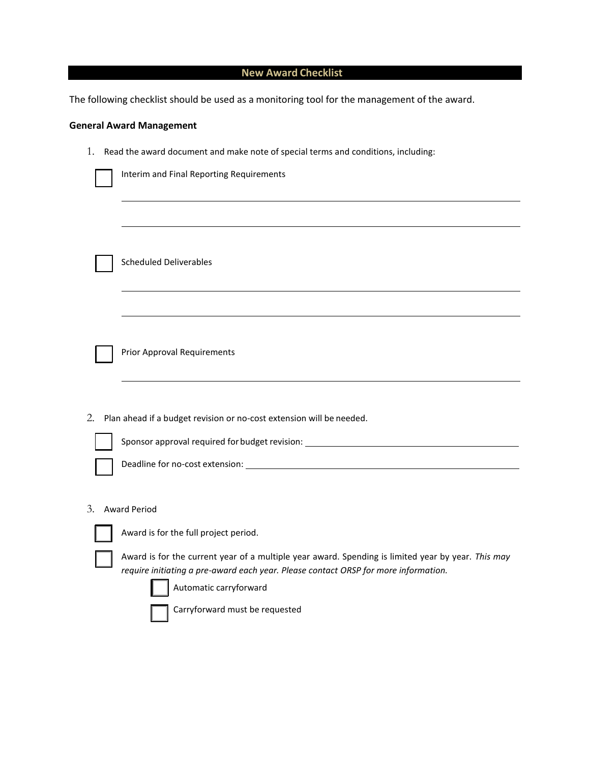# **New Award Checklist**

The following checklist should be used as a monitoring tool for the management of the award.

## **General Award Management**

|  | 1. Read the award document and make note of special terms and conditions, including: |  |
|--|--------------------------------------------------------------------------------------|--|
|--|--------------------------------------------------------------------------------------|--|

|    | Interim and Final Reporting Requirements                                                                                                                                                  |  |  |  |
|----|-------------------------------------------------------------------------------------------------------------------------------------------------------------------------------------------|--|--|--|
|    |                                                                                                                                                                                           |  |  |  |
|    | <b>Scheduled Deliverables</b>                                                                                                                                                             |  |  |  |
|    |                                                                                                                                                                                           |  |  |  |
|    | <b>Prior Approval Requirements</b>                                                                                                                                                        |  |  |  |
|    |                                                                                                                                                                                           |  |  |  |
| 2. | Plan ahead if a budget revision or no-cost extension will be needed.                                                                                                                      |  |  |  |
|    | Sponsor approval required for budget revision: _________________________________                                                                                                          |  |  |  |
|    |                                                                                                                                                                                           |  |  |  |
|    |                                                                                                                                                                                           |  |  |  |
| 3. | <b>Award Period</b>                                                                                                                                                                       |  |  |  |
|    | Award is for the full project period.                                                                                                                                                     |  |  |  |
|    | Award is for the current year of a multiple year award. Spending is limited year by year. This may<br>require initiating a pre-award each year. Please contact ORSP for more information. |  |  |  |
|    | Automatic carryforward                                                                                                                                                                    |  |  |  |
|    | Carryforward must be requested                                                                                                                                                            |  |  |  |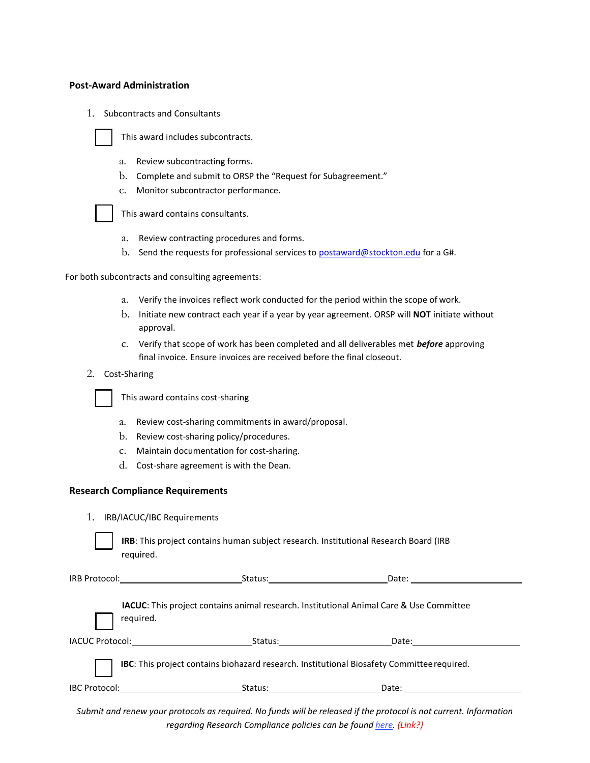#### **Post-Award Administration**

1. Subcontracts and Consultants



This award includes subcontracts.

- a. Review subcontracting forms.
- b. Complete and submit to ORSP the "Request for Subagreement."
- c. Monitor subcontractor performance.



This award contains consultants.

- a. Review contracting procedures and forms.
- b. Send the requests for professional services to [postaward@stockton.edu](mailto:postaward@stockton.edu) for a G#.

For both subcontracts and consulting agreements:

- a. Verify the invoices reflect work conducted for the period within the scope of work.
- b. Initiate new contract each year if a year by year agreement. ORSP will **NOT** initiate without approval.
- c. Verify that scope of work has been completed and all deliverables met *before* approving final invoice. Ensure invoices are received before the final closeout.
- 2. Cost-Sharing

This award contains cost-sharing

- a. Review cost-sharing commitments in award/proposal.
- b. Review cost-sharing policy/procedures.
- c. Maintain documentation for cost-sharing.
- d. Cost-share agreement is with the Dean.

#### **Research Compliance Requirements**

1. IRB/IACUC/IBC Requirements

| <b>IRB:</b> This project contains human subject research. Institutional Research Board (IRB) |
|----------------------------------------------------------------------------------------------|
| reauired.                                                                                    |

|                                                                                                   | IRB Protocol: _______________________________                                                         | Status: the contract of the contract of the contract of the contract of the contract of the contract of the contract of the contract of the contract of the contract of the contract of the contract of the contract of the co<br>Date: <u>____________</u>     |  |  |  |
|---------------------------------------------------------------------------------------------------|-------------------------------------------------------------------------------------------------------|-----------------------------------------------------------------------------------------------------------------------------------------------------------------------------------------------------------------------------------------------------------------|--|--|--|
|                                                                                                   | required.                                                                                             | IACUC: This project contains animal research. Institutional Animal Care & Use Committee                                                                                                                                                                         |  |  |  |
|                                                                                                   | IACUC Protocol: And All Andrews And All Andrews And All Andrews And All Andrews And All Andrews And A | Status: the contract of the contract of the contract of the contract of the contract of the contract of the contract of the contract of the contract of the contract of the contract of the contract of the contract of the co                                  |  |  |  |
| <b>IBC:</b> This project contains biohazard research. Institutional Biosafety Committee required. |                                                                                                       |                                                                                                                                                                                                                                                                 |  |  |  |
| <b>IBC Protocol:</b>                                                                              | <u> 1980 - Jan Barbara Barbara, manazarta </u>                                                        | Status: _____________________<br>Date: the contract of the contract of the contract of the contract of the contract of the contract of the contract of the contract of the contract of the contract of the contract of the contract of the contract of the cont |  |  |  |

Submit and renew your protocols as required. No funds will be released if the protocol is not current. Information *regarding Research Compliance policies can be found here. (Link?)*